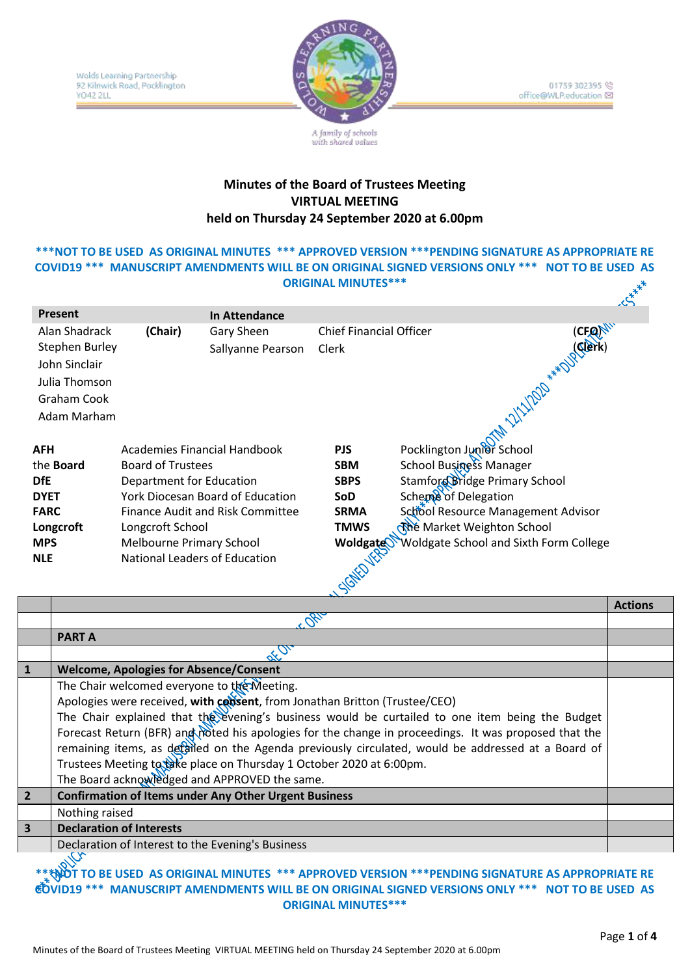

01759 302395 (2) office@WLP.education

#### **Minutes of the Board of Trustees Meeting VIRTUAL MEETING held on Thursday 24 September 2020 at 6.00pm**

with shared values

# **\*\*\*NOT TO BE USED AS ORIGINAL MINUTES \*\*\* APPROVED VERSION \*\*\*PENDING SIGNATURE AS APPROPRIATE RE COVID19 \*\*\* MANUSCRIPT AMENDMENTS WILL BE ON ORIGINAL SIGNED VERSIONS ONLY \*\*\* NOT TO BE USED AS ORIGINAL MINUTES\*\*\***

| Present               |                                 |                                         |                                |                                        | دمى |
|-----------------------|---------------------------------|-----------------------------------------|--------------------------------|----------------------------------------|-----|
|                       |                                 | In Attendance                           |                                |                                        |     |
| Alan Shadrack         | (Chair)                         | Gary Sheen                              | <b>Chief Financial Officer</b> | (CFON <sup>NV</sup>                    |     |
| <b>Stephen Burley</b> |                                 | Sallyanne Pearson                       | Clerk                          |                                        |     |
| John Sinclair         |                                 |                                         |                                |                                        |     |
| Julia Thomson         |                                 |                                         |                                |                                        |     |
| Graham Cook           |                                 |                                         |                                | OTAL 211202 *** DISCREEN               |     |
|                       |                                 |                                         |                                |                                        |     |
| Adam Marham           |                                 |                                         |                                |                                        |     |
|                       |                                 |                                         |                                |                                        |     |
| AFH                   | Academies Financial Handbook    |                                         | <b>PJS</b>                     | Pocklington Junior School              |     |
| the <b>Board</b>      | <b>Board of Trustees</b>        |                                         | <b>SBM</b>                     | School Business Manager                |     |
| DfE                   | Department for Education        |                                         | <b>SBPS</b>                    | Stamford Bridge Primary School         |     |
| <b>DYET</b>           |                                 | York Diocesan Board of Education        | SoD.                           | Scheme of Delegation                   |     |
| <b>FARC</b>           |                                 | <b>Finance Audit and Risk Committee</b> | <b>SRMA</b>                    | School Resource Management Advisor     |     |
| Longcroft             | Longcroft School                |                                         | TMWS                           | <b>्ति</b> Market Weighton School      |     |
| <b>MPS</b>            | <b>Melbourne Primary School</b> |                                         | Woldgate                       | Woldgate School and Sixth Form College |     |
| <b>NLE</b>            | National Leaders of Education   |                                         |                                |                                        |     |
|                       |                                 |                                         |                                |                                        |     |
|                       |                                 |                                         | SIGNED VERS                    |                                        |     |
|                       |                                 |                                         |                                |                                        |     |

|                         |                                                                                                       | <b>Actions</b> |
|-------------------------|-------------------------------------------------------------------------------------------------------|----------------|
|                         |                                                                                                       |                |
|                         | <b>PARTA</b>                                                                                          |                |
|                         |                                                                                                       |                |
| 1                       | <b>Welcome, Apologies for Absence/Consent</b>                                                         |                |
|                         | The Chair welcomed everyone to the Meeting.                                                           |                |
|                         | Apologies were received, with consent, from Jonathan Britton (Trustee/CEO)                            |                |
|                         | The Chair explained that the evening's business would be curtailed to one item being the Budget       |                |
|                         | Forecast Return (BFR) and moted his apologies for the change in proceedings. It was proposed that the |                |
|                         | remaining items, as detailed on the Agenda previously circulated, would be addressed at a Board of    |                |
|                         | Trustees Meeting to take place on Thursday 1 October 2020 at 6:00pm.                                  |                |
|                         | The Board acknowledged and APPROVED the same.                                                         |                |
| $\overline{2}$          | <b>Confirmation of Items under Any Other Urgent Business</b>                                          |                |
|                         | Nothing raised                                                                                        |                |
| $\overline{\mathbf{3}}$ | <b>Declaration of Interests</b>                                                                       |                |
|                         | Declaration of Interest to the Evening's Business                                                     |                |
|                         | olly                                                                                                  |                |

#### **\*\*\*\*NOT TO BE USED AS ORIGINAL MINUTES \*\*\* APPROVED VERSION \*\*\*PENDING SIGNATURE AS APPROPRIATE RE COVID19 \*\*\* MANUSCRIPT AMENDMENTS WILL BE ON ORIGINAL SIGNED VERSIONS ONLY \*\*\* NOT TO BE USED AS ORIGINAL MINUTES\*\*\***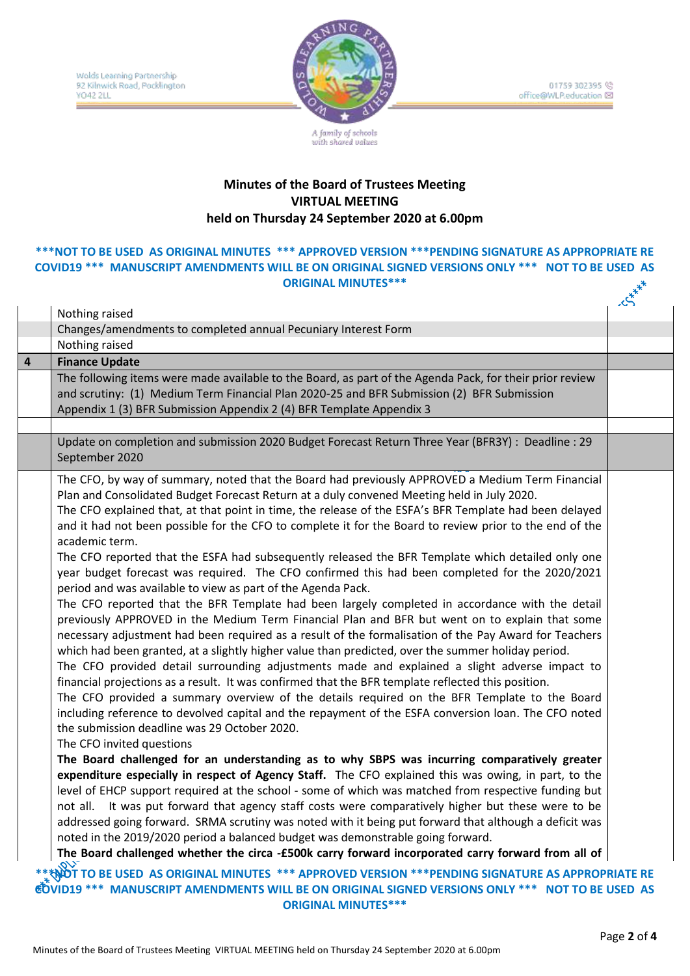

01759 302395 office@WLP.education

## **Minutes of the Board of Trustees Meeting VIRTUAL MEETING held on Thursday 24 September 2020 at 6.00pm**

### **\*\*\*NOT TO BE USED AS ORIGINAL MINUTES \*\*\* APPROVED VERSION \*\*\*PENDING SIGNATURE AS APPROPRIATE RE COVID19 \*\*\* MANUSCRIPT AMENDMENTS WILL BE ON ORIGINAL SIGNED VERSIONS ONLY \*\*\* NOT TO BE USED AS**<br>\*\*\* ORIGINAL MINUTES \*\*\* **ORIGINAL MINUTES\*\*\***

|                |                                                                                                                                                                                                                                                                                                                                                                                                                                                                                                                                                                                                                                                                                                                                                                                                                                                                                                                                                                                                                                                                                                                                                                                                                                                                                                                                                                                                                                                                                                                                                                                                                                                                                                                                                                                                                                                                                                                                                                                                                                                                                                                                                                                                                                                                                                                                                       | تىر |
|----------------|-------------------------------------------------------------------------------------------------------------------------------------------------------------------------------------------------------------------------------------------------------------------------------------------------------------------------------------------------------------------------------------------------------------------------------------------------------------------------------------------------------------------------------------------------------------------------------------------------------------------------------------------------------------------------------------------------------------------------------------------------------------------------------------------------------------------------------------------------------------------------------------------------------------------------------------------------------------------------------------------------------------------------------------------------------------------------------------------------------------------------------------------------------------------------------------------------------------------------------------------------------------------------------------------------------------------------------------------------------------------------------------------------------------------------------------------------------------------------------------------------------------------------------------------------------------------------------------------------------------------------------------------------------------------------------------------------------------------------------------------------------------------------------------------------------------------------------------------------------------------------------------------------------------------------------------------------------------------------------------------------------------------------------------------------------------------------------------------------------------------------------------------------------------------------------------------------------------------------------------------------------------------------------------------------------------------------------------------------------|-----|
|                | Nothing raised                                                                                                                                                                                                                                                                                                                                                                                                                                                                                                                                                                                                                                                                                                                                                                                                                                                                                                                                                                                                                                                                                                                                                                                                                                                                                                                                                                                                                                                                                                                                                                                                                                                                                                                                                                                                                                                                                                                                                                                                                                                                                                                                                                                                                                                                                                                                        |     |
|                | Changes/amendments to completed annual Pecuniary Interest Form                                                                                                                                                                                                                                                                                                                                                                                                                                                                                                                                                                                                                                                                                                                                                                                                                                                                                                                                                                                                                                                                                                                                                                                                                                                                                                                                                                                                                                                                                                                                                                                                                                                                                                                                                                                                                                                                                                                                                                                                                                                                                                                                                                                                                                                                                        |     |
|                | Nothing raised                                                                                                                                                                                                                                                                                                                                                                                                                                                                                                                                                                                                                                                                                                                                                                                                                                                                                                                                                                                                                                                                                                                                                                                                                                                                                                                                                                                                                                                                                                                                                                                                                                                                                                                                                                                                                                                                                                                                                                                                                                                                                                                                                                                                                                                                                                                                        |     |
| $\overline{a}$ | <b>Finance Update</b>                                                                                                                                                                                                                                                                                                                                                                                                                                                                                                                                                                                                                                                                                                                                                                                                                                                                                                                                                                                                                                                                                                                                                                                                                                                                                                                                                                                                                                                                                                                                                                                                                                                                                                                                                                                                                                                                                                                                                                                                                                                                                                                                                                                                                                                                                                                                 |     |
|                | The following items were made available to the Board, as part of the Agenda Pack, for their prior review<br>and scrutiny: (1) Medium Term Financial Plan 2020-25 and BFR Submission (2) BFR Submission<br>Appendix 1 (3) BFR Submission Appendix 2 (4) BFR Template Appendix 3                                                                                                                                                                                                                                                                                                                                                                                                                                                                                                                                                                                                                                                                                                                                                                                                                                                                                                                                                                                                                                                                                                                                                                                                                                                                                                                                                                                                                                                                                                                                                                                                                                                                                                                                                                                                                                                                                                                                                                                                                                                                        |     |
|                |                                                                                                                                                                                                                                                                                                                                                                                                                                                                                                                                                                                                                                                                                                                                                                                                                                                                                                                                                                                                                                                                                                                                                                                                                                                                                                                                                                                                                                                                                                                                                                                                                                                                                                                                                                                                                                                                                                                                                                                                                                                                                                                                                                                                                                                                                                                                                       |     |
|                | Update on completion and submission 2020 Budget Forecast Return Three Year (BFR3Y) : Deadline : 29<br>September 2020                                                                                                                                                                                                                                                                                                                                                                                                                                                                                                                                                                                                                                                                                                                                                                                                                                                                                                                                                                                                                                                                                                                                                                                                                                                                                                                                                                                                                                                                                                                                                                                                                                                                                                                                                                                                                                                                                                                                                                                                                                                                                                                                                                                                                                  |     |
|                | The CFO, by way of summary, noted that the Board had previously APPROVED a Medium Term Financial<br>Plan and Consolidated Budget Forecast Return at a duly convened Meeting held in July 2020.<br>The CFO explained that, at that point in time, the release of the ESFA's BFR Template had been delayed<br>and it had not been possible for the CFO to complete it for the Board to review prior to the end of the<br>academic term.<br>The CFO reported that the ESFA had subsequently released the BFR Template which detailed only one<br>year budget forecast was required. The CFO confirmed this had been completed for the 2020/2021<br>period and was available to view as part of the Agenda Pack.<br>The CFO reported that the BFR Template had been largely completed in accordance with the detail<br>previously APPROVED in the Medium Term Financial Plan and BFR but went on to explain that some<br>necessary adjustment had been required as a result of the formalisation of the Pay Award for Teachers<br>which had been granted, at a slightly higher value than predicted, over the summer holiday period.<br>The CFO provided detail surrounding adjustments made and explained a slight adverse impact to<br>financial projections as a result. It was confirmed that the BFR template reflected this position.<br>The CFO provided a summary overview of the details required on the BFR Template to the Board<br>including reference to devolved capital and the repayment of the ESFA conversion loan. The CFO noted<br>the submission deadline was 29 October 2020.<br>The CFO invited questions<br>The Board challenged for an understanding as to why SBPS was incurring comparatively greater<br>expenditure especially in respect of Agency Staff. The CFO explained this was owing, in part, to the<br>level of EHCP support required at the school - some of which was matched from respective funding but<br>not all. It was put forward that agency staff costs were comparatively higher but these were to be<br>addressed going forward. SRMA scrutiny was noted with it being put forward that although a deficit was<br>noted in the 2019/2020 period a balanced budget was demonstrable going forward.<br>The Board challenged whether the circa -£500k carry forward incorporated carry forward from all of |     |
|                | ।<br>NOT TO BE USED  AS ORIGINAL MINUTES  *** APPROVED VERSION ***PENDING SIGNATURE AS APPROPRIATE RE                                                                                                                                                                                                                                                                                                                                                                                                                                                                                                                                                                                                                                                                                                                                                                                                                                                                                                                                                                                                                                                                                                                                                                                                                                                                                                                                                                                                                                                                                                                                                                                                                                                                                                                                                                                                                                                                                                                                                                                                                                                                                                                                                                                                                                                 |     |
|                | <b>COVID19 *** MANUSCRIPT AMENDMENTS WILL BE ON ORIGINAL SIGNED VERSIONS ONLY *** NOT TO BE USED AS</b>                                                                                                                                                                                                                                                                                                                                                                                                                                                                                                                                                                                                                                                                                                                                                                                                                                                                                                                                                                                                                                                                                                                                                                                                                                                                                                                                                                                                                                                                                                                                                                                                                                                                                                                                                                                                                                                                                                                                                                                                                                                                                                                                                                                                                                               |     |

**ORIGINAL MINUTES\*\*\***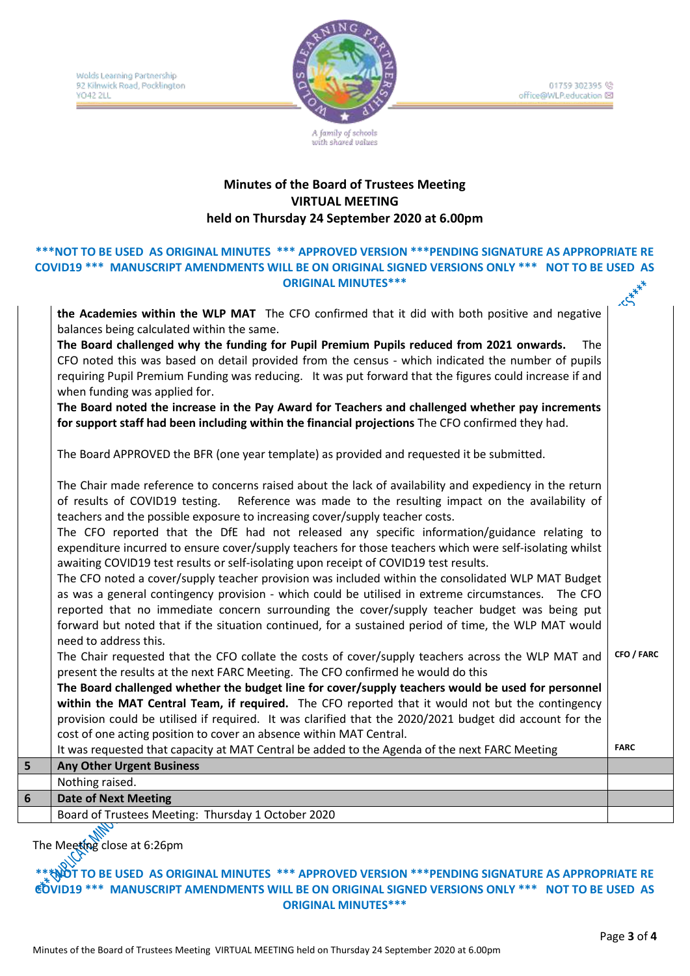Wolds Learning Partnership 92 Kilnwick Road, Pocklington **YO42 2LL** ÷



01759 302395 (2) office@WLP.education ⊠

## **Minutes of the Board of Trustees Meeting VIRTUAL MEETING held on Thursday 24 September 2020 at 6.00pm**

with shared values

#### **\*\*\*NOT TO BE USED AS ORIGINAL MINUTES \*\*\* APPROVED VERSION \*\*\*PENDING SIGNATURE AS APPROPRIATE RE COVID19 \*\*\* MANUSCRIPT AMENDMENTS WILL BE ON ORIGINAL SIGNED VERSIONS ONLY \*\*\* NOT TO BE USED AS ORIGINAL MINUTES\*\*\***  $x^*$

|   | the Academies within the WLP MAT The CFO confirmed that it did with both positive and negative<br>balances being calculated within the same.                                                                                                                                                      |             |
|---|---------------------------------------------------------------------------------------------------------------------------------------------------------------------------------------------------------------------------------------------------------------------------------------------------|-------------|
|   | The Board challenged why the funding for Pupil Premium Pupils reduced from 2021 onwards.<br>The                                                                                                                                                                                                   |             |
|   | CFO noted this was based on detail provided from the census - which indicated the number of pupils                                                                                                                                                                                                |             |
|   | requiring Pupil Premium Funding was reducing. It was put forward that the figures could increase if and                                                                                                                                                                                           |             |
|   | when funding was applied for.                                                                                                                                                                                                                                                                     |             |
|   | The Board noted the increase in the Pay Award for Teachers and challenged whether pay increments                                                                                                                                                                                                  |             |
|   | for support staff had been including within the financial projections The CFO confirmed they had.                                                                                                                                                                                                 |             |
|   | The Board APPROVED the BFR (one year template) as provided and requested it be submitted.                                                                                                                                                                                                         |             |
|   | The Chair made reference to concerns raised about the lack of availability and expediency in the return<br>of results of COVID19 testing.<br>Reference was made to the resulting impact on the availability of<br>teachers and the possible exposure to increasing cover/supply teacher costs.    |             |
|   | The CFO reported that the DfE had not released any specific information/guidance relating to<br>expenditure incurred to ensure cover/supply teachers for those teachers which were self-isolating whilst<br>awaiting COVID19 test results or self-isolating upon receipt of COVID19 test results. |             |
|   | The CFO noted a cover/supply teacher provision was included within the consolidated WLP MAT Budget                                                                                                                                                                                                |             |
|   | as was a general contingency provision - which could be utilised in extreme circumstances. The CFO                                                                                                                                                                                                |             |
|   | reported that no immediate concern surrounding the cover/supply teacher budget was being put                                                                                                                                                                                                      |             |
|   | forward but noted that if the situation continued, for a sustained period of time, the WLP MAT would                                                                                                                                                                                              |             |
|   | need to address this.<br>The Chair requested that the CFO collate the costs of cover/supply teachers across the WLP MAT and                                                                                                                                                                       | CFO / FARC  |
|   | present the results at the next FARC Meeting. The CFO confirmed he would do this                                                                                                                                                                                                                  |             |
|   | The Board challenged whether the budget line for cover/supply teachers would be used for personnel                                                                                                                                                                                                |             |
|   | within the MAT Central Team, if required. The CFO reported that it would not but the contingency                                                                                                                                                                                                  |             |
|   | provision could be utilised if required. It was clarified that the 2020/2021 budget did account for the                                                                                                                                                                                           |             |
|   | cost of one acting position to cover an absence within MAT Central.                                                                                                                                                                                                                               |             |
|   | It was requested that capacity at MAT Central be added to the Agenda of the next FARC Meeting                                                                                                                                                                                                     | <b>FARC</b> |
| 5 | <b>Any Other Urgent Business</b>                                                                                                                                                                                                                                                                  |             |
|   | Nothing raised.                                                                                                                                                                                                                                                                                   |             |
| 6 | <b>Date of Next Meeting</b>                                                                                                                                                                                                                                                                       |             |
|   | Board of Trustees Meeting: Thursday 1 October 2020                                                                                                                                                                                                                                                |             |

The Meeting close at 6:26pm

**\*\*\*NOT TO BE USED AS ORIGINAL MINUTES \*\*\* APPROVED VERSION \*\*\*PENDING SIGNATURE AS APPROPRIATE RE COVID19 \*\*\* MANUSCRIPT AMENDMENTS WILL BE ON ORIGINAL SIGNED VERSIONS ONLY \*\*\* NOT TO BE USED AS ORIGINAL MINUTES\*\*\***